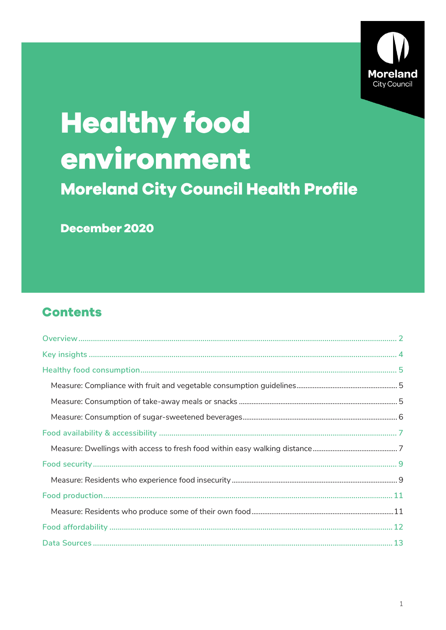

# **Healthy food** environment **Moreland City Council Health Profile**

December 2020

# **Contents**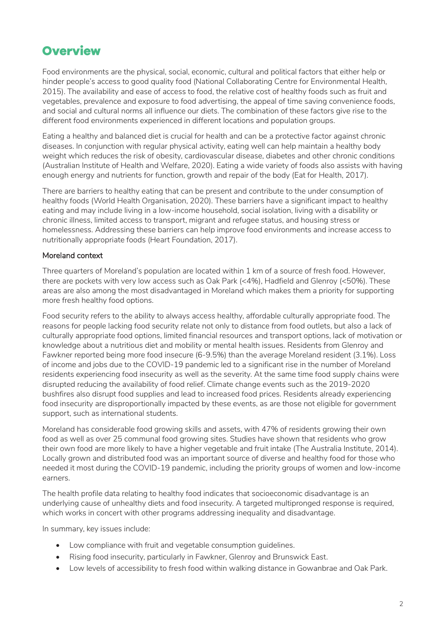# <span id="page-1-0"></span>**Overview**

Food environments are the physical, social, economic, cultural and political factors that either help or hinder people's access to good quality food (National Collaborating Centre for Environmental Health, 2015). The availability and ease of access to food, the relative cost of healthy foods such as fruit and vegetables, prevalence and exposure to food advertising, the appeal of time saving convenience foods, and social and cultural norms all influence our diets. The combination of these factors give rise to the different food environments experienced in different locations and population groups.

Eating a healthy and balanced diet is crucial for health and can be a protective factor against chronic diseases. In conjunction with regular physical activity, eating well can help maintain a healthy body weight which reduces the risk of obesity, cardiovascular disease, diabetes and other chronic conditions (Australian Institute of Health and Welfare, 2020). Eating a wide variety of foods also assists with having enough energy and nutrients for function, growth and repair of the body (Eat for Health, 2017).

There are barriers to healthy eating that can be present and contribute to the under consumption of healthy foods (World Health Organisation, 2020). These barriers have a significant impact to healthy eating and may include living in a low-income household, social isolation, living with a disability or chronic illness, limited access to transport, migrant and refugee status, and housing stress or homelessness. Addressing these barriers can help improve food environments and increase access to nutritionally appropriate foods (Heart Foundation, 2017).

### Moreland context

Three quarters of Moreland's population are located within 1 km of a source of fresh food. However, there are pockets with very low access such as Oak Park (<4%), Hadfield and Glenroy (<50%). These areas are also among the most disadvantaged in Moreland which makes them a priority for supporting more fresh healthy food options.

Food security refers to the ability to always access healthy, affordable culturally appropriate food. The reasons for people lacking food security relate not only to distance from food outlets, but also a lack of culturally appropriate food options, limited financial resources and transport options, lack of motivation or knowledge about a nutritious diet and mobility or mental health issues. Residents from Glenroy and Fawkner reported being more food insecure (6-9.5%) than the average Moreland resident (3.1%). Loss of income and jobs due to the COVID-19 pandemic led to a significant rise in the number of Moreland residents experiencing food insecurity as well as the severity. At the same time food supply chains were disrupted reducing the availability of food relief. Climate change events such as the 2019-2020 bushfires also disrupt food supplies and lead to increased food prices. Residents already experiencing food insecurity are disproportionally impacted by these events, as are those not eligible for government support, such as international students.

Moreland has considerable food growing skills and assets, with 47% of residents growing their own food as well as over 25 communal food growing sites. Studies have shown that residents who grow their own food are more likely to have a higher vegetable and fruit intake (The Australia Institute, 2014). Locally grown and distributed food was an important source of diverse and healthy food for those who needed it most during the COVID-19 pandemic, including the priority groups of women and low-income earners.

The health profile data relating to healthy food indicates that socioeconomic disadvantage is an underlying cause of unhealthy diets and food insecurity. A targeted multipronged response is required, which works in concert with other programs addressing inequality and disadvantage.

In summary, key issues include:

- Low compliance with fruit and vegetable consumption guidelines.
- Rising food insecurity, particularly in Fawkner, Glenroy and Brunswick East.
- Low levels of accessibility to fresh food within walking distance in Gowanbrae and Oak Park.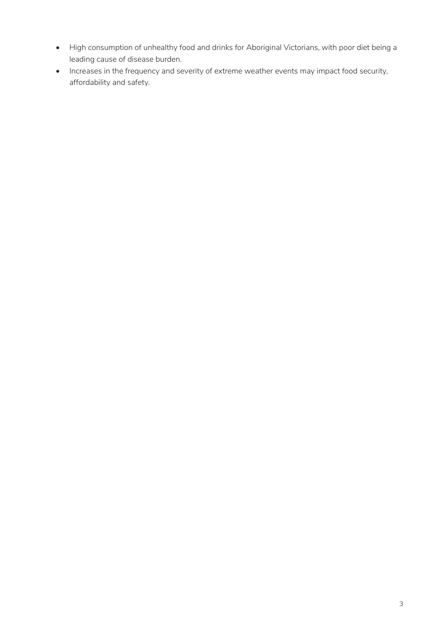- High consumption of unhealthy food and drinks for Aboriginal Victorians, with poor diet being a leading cause of disease burden.
- Increases in the frequency and severity of extreme weather events may impact food security, affordability and safety.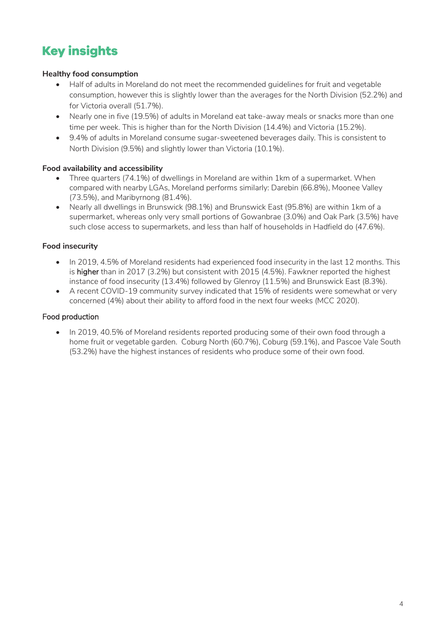# <span id="page-3-0"></span>**Key insights**

# **Healthy food consumption**

- Half of adults in Moreland do not meet the recommended guidelines for fruit and vegetable consumption, however this is slightly lower than the averages for the North Division (52.2%) and for Victoria overall (51.7%).
- Nearly one in five (19.5%) of adults in Moreland eat take-away meals or snacks more than one time per week. This is higher than for the North Division (14.4%) and Victoria (15.2%).
- 9.4% of adults in Moreland consume sugar-sweetened beverages daily. This is consistent to North Division (9.5%) and slightly lower than Victoria (10.1%).

# **Food availability and accessibility**

- Three quarters (74.1%) of dwellings in Moreland are within 1km of a supermarket. When compared with nearby LGAs, Moreland performs similarly: Darebin (66.8%), Moonee Valley (73.5%), and Maribyrnong (81.4%).
- Nearly all dwellings in Brunswick (98.1%) and Brunswick East (95.8%) are within 1km of a supermarket, whereas only very small portions of Gowanbrae (3.0%) and Oak Park (3.5%) have such close access to supermarkets, and less than half of households in Hadfield do (47.6%).

### **Food insecurity**

- In 2019, 4.5% of Moreland residents had experienced food insecurity in the last 12 months. This is higher than in 2017 (3.2%) but consistent with 2015 (4.5%). Fawkner reported the highest instance of food insecurity (13.4%) followed by Glenroy (11.5%) and Brunswick East (8.3%).
- A recent COVID-19 community survey indicated that 15% of residents were somewhat or very concerned (4%) about their ability to afford food in the next four weeks (MCC 2020).

## Food production

• In 2019, 40.5% of Moreland residents reported producing some of their own food through a home fruit or vegetable garden. Coburg North (60.7%), Coburg (59.1%), and Pascoe Vale South (53.2%) have the highest instances of residents who produce some of their own food.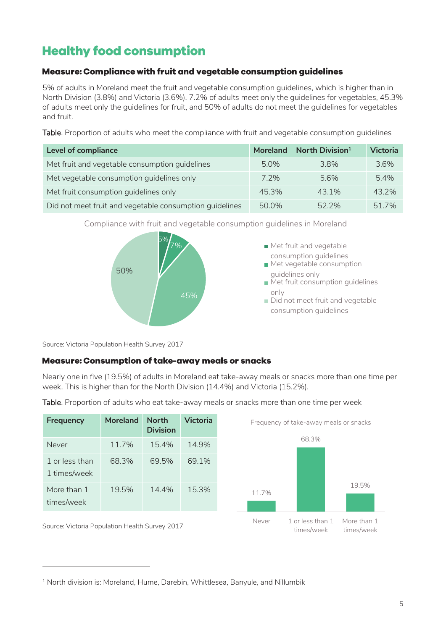# <span id="page-4-0"></span>**Healthy food consumption**

# <span id="page-4-1"></span>Measure: Compliance with fruit and vegetable consumption guidelines

5% of adults in Moreland meet the fruit and vegetable consumption guidelines, which is higher than in North Division (3.8%) and Victoria (3.6%). 7.2% of adults meet only the guidelines for vegetables, 45.3% of adults meet only the guidelines for fruit, and 50% of adults do not meet the guidelines for vegetables and fruit.

Table. Proportion of adults who meet the compliance with fruit and vegetable consumption guidelines

| <b>Level of compliance</b>                              | <b>Moreland</b> | North Division <sup>1</sup> | <b>Victoria</b> |
|---------------------------------------------------------|-----------------|-----------------------------|-----------------|
| Met fruit and vegetable consumption guidelines          | 5.0%            | 3.8%                        | 3.6%            |
| Met vegetable consumption guidelines only               | $7.2\%$         | 5.6%                        | 5.4%            |
| Met fruit consumption guidelines only                   | 45.3%           | 43.1%                       | 43.2%           |
| Did not meet fruit and vegetable consumption guidelines | 50.0%           | 522%                        | 51 7%           |



Compliance with fruit and vegetable consumption guidelines in Moreland

Source: Victoria Population Health Survey 2017

-

# <span id="page-4-2"></span>**Measure: Consumption of take-away meals or snacks**

Nearly one in five (19.5%) of adults in Moreland eat take-away meals or snacks more than one time per week. This is higher than for the North Division (14.4%) and Victoria (15.2%).

| <b>Frequency</b>                               | <b>Moreland</b> | <b>North</b><br><b>Division</b> | <b>Victoria</b> |       | Frequency of take-away meals or snacks |                           |
|------------------------------------------------|-----------------|---------------------------------|-----------------|-------|----------------------------------------|---------------------------|
| Never                                          | 11.7%           | 15.4%                           | 14.9%           |       | 68.3%                                  |                           |
| 1 or less than<br>1 times/week                 | 68.3%           | 69.5%                           | 69.1%           |       |                                        |                           |
| More than 1<br>times/week                      | 19.5%           | 14.4%                           | 15.3%           | 11.7% |                                        | 19.5%                     |
| Source: Victoria Population Health Survey 2017 |                 |                                 |                 | Never | 1 or less than 1<br>times/week         | More than 1<br>times/week |

Table. Proportion of adults who eat take-away meals or snacks more than one time per week

<sup>&</sup>lt;sup>1</sup> North division is: Moreland, Hume, Darebin, Whittlesea, Banyule, and Nillumbik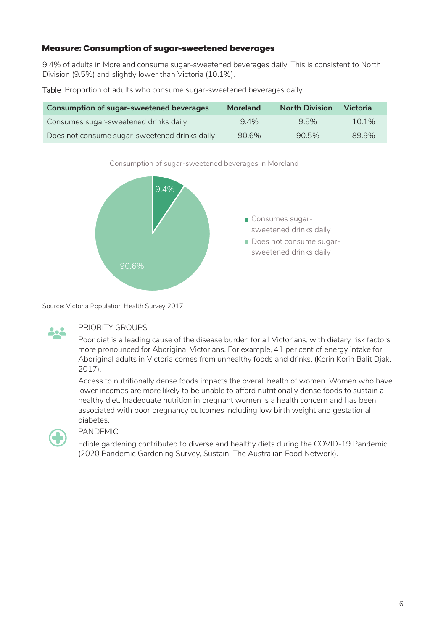### <span id="page-5-0"></span>**Measure: Consumption of sugar-sweetened beverages**

9.4% of adults in Moreland consume sugar-sweetened beverages daily. This is consistent to North Division (9.5%) and slightly lower than Victoria (10.1%).

Table. Proportion of adults who consume sugar-sweetened beverages daily

| <b>Consumption of sugar-sweetened beverages</b> | Moreland | <b>North Division</b> | <b>Victoria</b> |
|-------------------------------------------------|----------|-----------------------|-----------------|
| Consumes sugar-sweetened drinks daily           | 94%      | 9.5%                  | $10.1\%$        |
| Does not consume sugar-sweetened drinks daily   | 90.6%    | 90.5%                 | 89.9%           |

Consumption of sugar-sweetened beverages in Moreland



Source: Victoria Population Health Survey 2017



#### PRIORITY GROUPS

Poor diet is a leading cause of the disease burden for all Victorians, with dietary risk factors more pronounced for Aboriginal Victorians. For example, 41 per cent of energy intake for Aboriginal adults in Victoria comes from unhealthy foods and drinks. (Korin Korin Balit Djak, 2017).

Access to nutritionally dense foods impacts the overall health of women. Women who have lower incomes are more likely to be unable to afford nutritionally dense foods to sustain a healthy diet. Inadequate nutrition in pregnant women is a health concern and has been associated with poor pregnancy outcomes including low birth weight and gestational diabetes.



#### PANDEMIC

Edible gardening contributed to diverse and healthy diets during the COVID-19 Pandemic (2020 Pandemic Gardening Survey, Sustain: The Australian Food Network).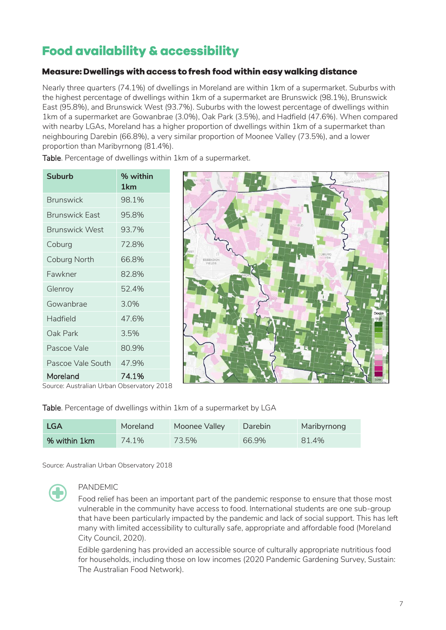# <span id="page-6-0"></span>**Food availability & accessibility**

# <span id="page-6-1"></span>Measure: Dwellings with access to fresh food within easy walking distance

Nearly three quarters (74.1%) of dwellings in Moreland are within 1km of a supermarket. Suburbs with the highest percentage of dwellings within 1km of a supermarket are Brunswick (98.1%), Brunswick East (95.8%), and Brunswick West (93.7%). Suburbs with the lowest percentage of dwellings within 1km of a supermarket are Gowanbrae (3.0%), Oak Park (3.5%), and Hadfield (47.6%). When compared with nearby LGAs, Moreland has a higher proportion of dwellings within 1km of a supermarket than neighbouring Darebin (66.8%), a very similar proportion of Moonee Valley (73.5%), and a lower proportion than Maribyrnong (81.4%).

**Suburb % within 1km** Brunswick 98.1% Brunswick East 95.8% Brunswick West 93.7% Coburg 72.8% Coburg North 66.8% Fawkner 82.8% Glenroy 52.4% Gowanbrae 3.0% Hadfield 47.6% Oak Park 3.5% Pascoe Vale 80.9% Pascoe Vale South 47.9% Moreland 74.1%

Table. Percentage of dwellings within 1km of a supermarket.

Source: Australian Urban Observatory 2018



Table. Percentage of dwellings within 1km of a supermarket by LGA

| <b>LGA</b>   | Moreland | Moonee Valley | Darebin | Maribyrnong |
|--------------|----------|---------------|---------|-------------|
| % within 1km | 74.1%    | 73.5%         | 66.9%   | 81.4%       |

Source: Australian Urban Observatory 2018



# PANDEMIC

Food relief has been an important part of the pandemic response to ensure that those most vulnerable in the community have access to food. International students are one sub-group that have been particularly impacted by the pandemic and lack of social support. This has left many with limited accessibility to culturally safe, appropriate and affordable food (Moreland City Council, 2020).

Edible gardening has provided an accessible source of culturally appropriate nutritious food for households, including those on low incomes (2020 Pandemic Gardening Survey, Sustain: The Australian Food Network).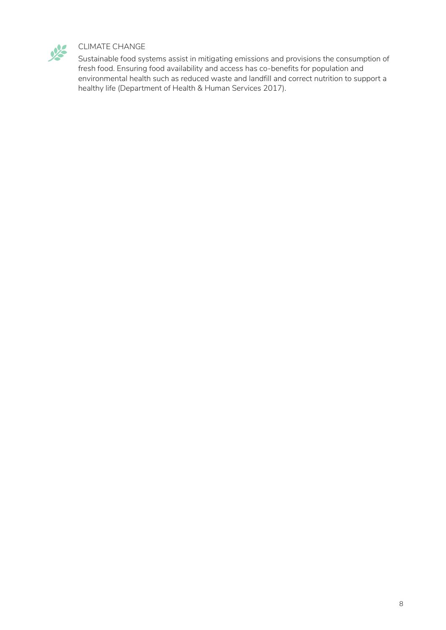

# CLIMATE CHANGE

Sustainable food systems assist in mitigating emissions and provisions the consumption of fresh food. Ensuring food availability and access has co-benefits for population and environmental health such as reduced waste and landfill and correct nutrition to support a healthy life (Department of Health & Human Services 2017).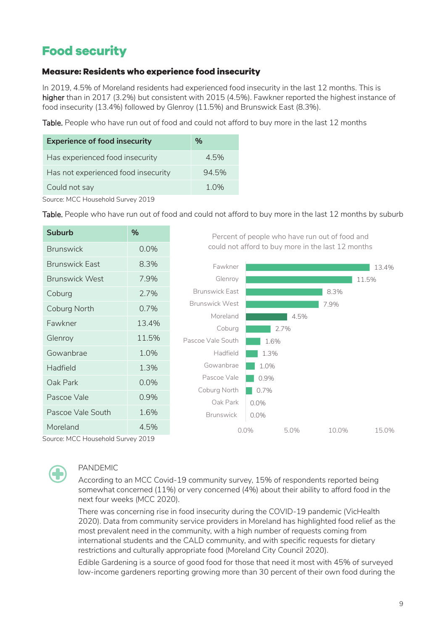# <span id="page-8-0"></span>**Food security**

### <span id="page-8-1"></span>**Measure: Residents who experience food insecurity**

In 2019, 4.5% of Moreland residents had experienced food insecurity in the last 12 months. This is higher than in 2017 (3.2%) but consistent with 2015 (4.5%). Fawkner reported the highest instance of food insecurity (13.4%) followed by Glenroy (11.5%) and Brunswick East (8.3%).

Table. People who have run out of food and could not afford to buy more in the last 12 months

| <b>Experience of food insecurity</b> | %     |
|--------------------------------------|-------|
| Has experienced food insecurity      | 4.5%  |
| Has not experienced food insecurity  | 94.5% |
| Could not say                        | 1.0%  |

Source: MCC Household Survey 2019

Table. People who have run out of food and could not afford to buy more in the last 12 months by suburb

| <b>Suburb</b>                                                                                                   | %     | Percent of people who have run out of food and     |                 |      |       |       |
|-----------------------------------------------------------------------------------------------------------------|-------|----------------------------------------------------|-----------------|------|-------|-------|
| <b>Brunswick</b>                                                                                                | 0.0%  | could not afford to buy more in the last 12 months |                 |      |       |       |
| <b>Brunswick East</b>                                                                                           | 8.3%  | Fawkner                                            |                 |      |       | 13.4% |
| <b>Brunswick West</b>                                                                                           | 7.9%  | Glenroy                                            |                 |      |       | 11.5% |
| Coburg                                                                                                          | 2.7%  | <b>Brunswick East</b>                              |                 |      | 8.3%  |       |
| Coburg North                                                                                                    | 0.7%  | <b>Brunswick West</b>                              |                 |      | 7.9%  |       |
| Fawkner                                                                                                         | 13.4% | Moreland                                           |                 | 4.5% |       |       |
| Glenroy                                                                                                         | 11.5% | Coburg<br>Pascoe Vale South                        | 1.6%            | 2.7% |       |       |
| Gowanbrae                                                                                                       | 1.0%  | Hadfield                                           | 1.3%            |      |       |       |
| Hadfield                                                                                                        | 1.3%  | Gowanbrae                                          | 1.0%            |      |       |       |
| Oak Park                                                                                                        | 0.0%  | Pascoe Vale                                        | 0.9%            |      |       |       |
| Pascoe Vale                                                                                                     | 0.9%  | Coburg North                                       | 0.7%            |      |       |       |
| Pascoe Vale South                                                                                               | 1.6%  | Oak Park<br><b>Brunswick</b>                       | 0.0%            |      |       |       |
| Moreland<br>$C_{\text{current}}$ $M$ $C$ $C$ $L_{\text{current}}$ $A$ $C_{\text{total}}$ $A$ $C_{\text{total}}$ | 4.5%  |                                                    | 0.0%<br>$0.0\%$ | 5.0% | 10.0% | 15.0% |

Source: MCC Household Survey 2019



#### PANDEMIC

According to an MCC Covid-19 community survey, 15% of respondents reported being somewhat concerned (11%) or very concerned (4%) about their ability to afford food in the next four weeks (MCC 2020).

There was concerning rise in food insecurity during the COVID-19 pandemic (VicHealth 2020). Data from community service providers in Moreland has highlighted food relief as the most prevalent need in the community, with a high number of requests coming from international students and the CALD community, and with specific requests for dietary restrictions and culturally appropriate food (Moreland City Council 2020).

Edible Gardening is a source of good food for those that need it most with 45% of surveyed low-income gardeners reporting growing more than 30 percent of their own food during the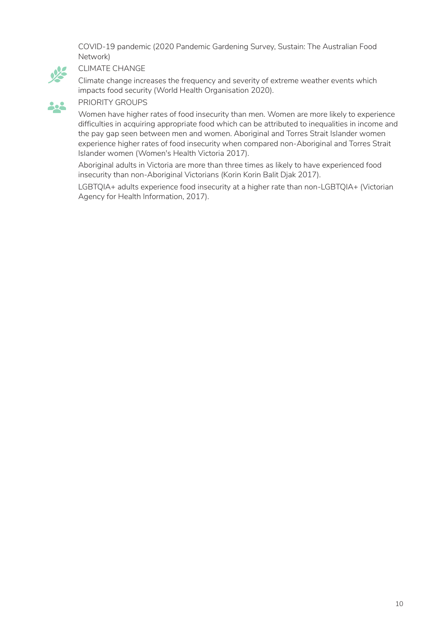COVID-19 pandemic (2020 Pandemic Gardening Survey, Sustain: The Australian Food Network)



#### CLIMATE CHANGE

Climate change increases the frequency and severity of extreme weather events which impacts food security (World Health Organisation 2020).

# PRIORITY GROUPS

Women have higher rates of food insecurity than men. Women are more likely to experience difficulties in acquiring appropriate food which can be attributed to inequalities in income and the pay gap seen between men and women. Aboriginal and Torres Strait Islander women experience higher rates of food insecurity when compared non-Aboriginal and Torres Strait Islander women (Women's Health Victoria 2017).

Aboriginal adults in Victoria are more than three times as likely to have experienced food insecurity than non-Aboriginal Victorians (Korin Korin Balit Djak 2017).

LGBTQIA+ adults experience food insecurity at a higher rate than non-LGBTQIA+ (Victorian Agency for Health Information, 2017).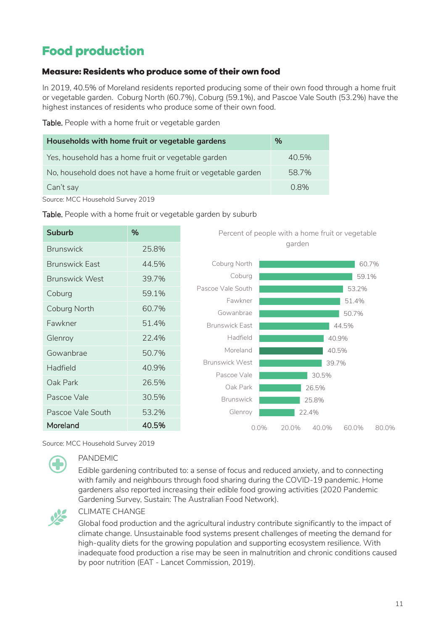# <span id="page-10-0"></span>**Food production**

# <span id="page-10-1"></span>Measure: Residents who produce some of their own food

In 2019, 40.5% of Moreland residents reported producing some of their own food through a home fruit or vegetable garden. Coburg North (60.7%), Coburg (59.1%), and Pascoe Vale South (53.2%) have the highest instances of residents who produce some of their own food.

Table. People with a home fruit or vegetable garden

| Households with home fruit or vegetable gardens              | $\%$  |
|--------------------------------------------------------------|-------|
| Yes, household has a home fruit or vegetable garden          | 40.5% |
| No, household does not have a home fruit or vegetable garden | 58.7% |
| Can't say                                                    | 0.8%  |

Source: MCC Household Survey 2019

#### Table. People with a home fruit or vegetable garden by suburb

| <b>Suburb</b>         | %     | Percent of people with a home fruit or vegetable |                                  |  |  |  |
|-----------------------|-------|--------------------------------------------------|----------------------------------|--|--|--|
| <b>Brunswick</b>      | 25.8% | garden                                           |                                  |  |  |  |
| <b>Brunswick East</b> | 44.5% | Coburg North                                     | 60.7%                            |  |  |  |
| <b>Brunswick West</b> | 39.7% | Coburg                                           | 59.1%                            |  |  |  |
| Coburg                | 59.1% | Pascoe Vale South                                | 53.2%                            |  |  |  |
| Coburg North          | 60.7% | Fawkner<br>Gowanbrae                             | 51.4%<br>50.7%                   |  |  |  |
| Fawkner               | 51.4% | <b>Brunswick East</b>                            | 44.5%                            |  |  |  |
| Glenroy               | 22.4% | Hadfield                                         | 40.9%                            |  |  |  |
| Gowanbrae             | 50.7% | Moreland                                         | 40.5%                            |  |  |  |
| Hadfield              | 40.9% | <b>Brunswick West</b>                            | 39.7%                            |  |  |  |
| Oak Park              | 26.5% | Pascoe Vale<br>Oak Park                          | 30.5%                            |  |  |  |
| Pascoe Vale           | 30.5% | <b>Brunswick</b>                                 | 26.5%<br>25.8%                   |  |  |  |
| Pascoe Vale South     | 53.2% | Glenroy                                          | 22.4%                            |  |  |  |
| Moreland              | 40.5% | $0.0\%$                                          | 20.0%<br>40.0%<br>60.0%<br>80.0% |  |  |  |

#### Source: MCC Household Survey 2019



# PANDEMIC

Edible gardening contributed to: a sense of focus and reduced anxiety, and to connecting with family and neighbours through food sharing during the COVID-19 pandemic. Home gardeners also reported increasing their edible food growing activities (2020 Pandemic Gardening Survey, Sustain: The Australian Food Network).



#### CLIMATE CHANGE

Global food production and the agricultural industry contribute significantly to the impact of climate change. Unsustainable food systems present challenges of meeting the demand for high-quality diets for the growing population and supporting ecosystem resilience. With inadequate food production a rise may be seen in malnutrition and chronic conditions caused by poor nutrition (EAT - Lancet Commission, 2019).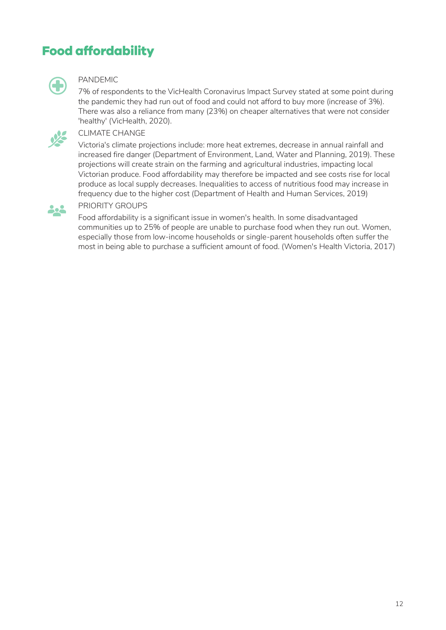# <span id="page-11-0"></span>**Food affordability**



#### PANDEMIC

7% of respondents to the VicHealth Coronavirus Impact Survey stated at some point during the pandemic they had run out of food and could not afford to buy more (increase of 3%). There was also a reliance from many (23%) on cheaper alternatives that were not consider 'healthy' (VicHealth, 2020).



### CLIMATE CHANGE

Victoria's climate projections include: more heat extremes, decrease in annual rainfall and increased fire danger (Department of Environment, Land, Water and Planning, 2019). These projections will create strain on the farming and agricultural industries, impacting local Victorian produce. Food affordability may therefore be impacted and see costs rise for local produce as local supply decreases. Inequalities to access of nutritious food may increase in frequency due to the higher cost (Department of Health and Human Services, 2019)



## PRIORITY GROUPS

Food affordability is a significant issue in women's health. In some disadvantaged communities up to 25% of people are unable to purchase food when they run out. Women, especially those from low-income households or single-parent households often suffer the most in being able to purchase a sufficient amount of food. (Women's Health Victoria, 2017)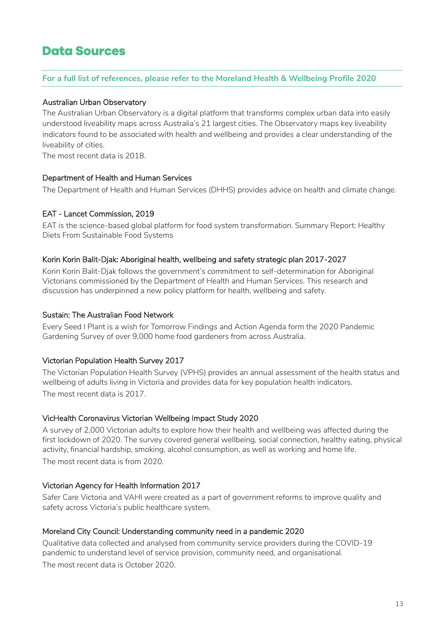# <span id="page-12-0"></span>**Data Sources**

#### **For a full list of references, please refer to the Moreland Health & Wellbeing Profile 2020**

#### Australian Urban Observatory

The Australian Urban Observatory is a digital platform that transforms complex urban data into easily understood liveability maps across Australia's 21 largest cities. The Observatory maps key liveability indicators found to be associated with health and wellbeing and provides a clear understanding of the liveability of cities.

The most recent data is 2018.

#### Department of Health and Human Services

The Department of Health and Human Services (DHHS) provides advice on health and climate change.

#### EAT - Lancet Commission, 2019

EAT is the science-based global platform for food system transformation. Summary Report: Healthy Diets From Sustainable Food Systems

#### Korin Korin Balit-Djak: Aboriginal health, wellbeing and safety strategic plan 2017-2027

Korin Korin Balit-Djak follows the government's commitment to self-determination for Aboriginal Victorians commissioned by the Department of Health and Human Services. This research and discussion has underpinned a new policy platform for health, wellbeing and safety.

#### Sustain: The Australian Food Network

Every Seed I Plant is a wish for Tomorrow Findings and Action Agenda form the 2020 Pandemic Gardening Survey of over 9,000 home food gardeners from across Australia.

#### Victorian Population Health Survey 2017

The Victorian Population Health Survey (VPHS) provides an annual assessment of the health status and wellbeing of adults living in Victoria and provides data for key population health indicators. The most recent data is 2017.

#### VicHealth Coronavirus Victorian Wellbeing Impact Study 2020

A survey of 2,000 Victorian adults to explore how their health and wellbeing was affected during the first lockdown of 2020. The survey covered general wellbeing, social connection, healthy eating, physical activity, financial hardship, smoking, alcohol consumption, as well as working and home life. The most recent data is from 2020.

#### Victorian Agency for Health Information 2017

Safer Care Victoria and VAHI were created as a part of government reforms to improve quality and safety across Victoria's public healthcare system.

#### Moreland City Council: Understanding community need in a pandemic 2020

Qualitative data collected and analysed from community service providers during the COVID-19 pandemic to understand level of service provision, community need, and organisational.

The most recent data is October 2020.